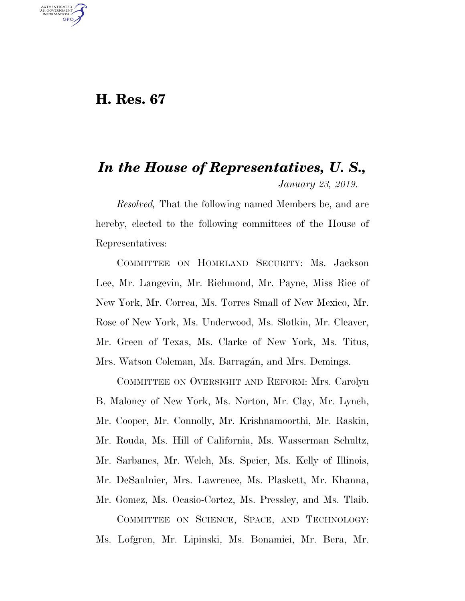## **H. Res. 67**

U.S. GOVERNMENT GPO

## *In the House of Representatives, U. S., January 23, 2019.*

*Resolved,* That the following named Members be, and are hereby, elected to the following committees of the House of Representatives:

COMMITTEE ON HOMELAND SECURITY: Ms. Jackson Lee, Mr. Langevin, Mr. Richmond, Mr. Payne, Miss Rice of New York, Mr. Correa, Ms. Torres Small of New Mexico, Mr. Rose of New York, Ms. Underwood, Ms. Slotkin, Mr. Cleaver, Mr. Green of Texas, Ms. Clarke of New York, Ms. Titus, Mrs. Watson Coleman, Ms. Barragán, and Mrs. Demings.

COMMITTEE ON OVERSIGHT AND REFORM: Mrs. Carolyn B. Maloney of New York, Ms. Norton, Mr. Clay, Mr. Lynch, Mr. Cooper, Mr. Connolly, Mr. Krishnamoorthi, Mr. Raskin, Mr. Rouda, Ms. Hill of California, Ms. Wasserman Schultz, Mr. Sarbanes, Mr. Welch, Ms. Speier, Ms. Kelly of Illinois, Mr. DeSaulnier, Mrs. Lawrence, Ms. Plaskett, Mr. Khanna, Mr. Gomez, Ms. Ocasio-Cortez, Ms. Pressley, and Ms. Tlaib. COMMITTEE ON SCIENCE, SPACE, AND TECHNOLOGY: Ms. Lofgren, Mr. Lipinski, Ms. Bonamici, Mr. Bera, Mr.